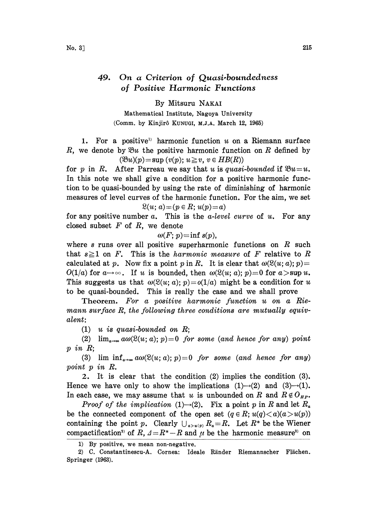## 49. On a Criterion of Quasi-boundedness of Positive Harmonic Functions

By Mitsuru NAKAI

Mathematical Institute, Nagoya University (Comm. by Kinjir8 KUNUGI, M.J.A. March 12, 1965)

1. For a positive<sup>1)</sup> harmonic function  $u$  on a Riemann surface R, we denote by  $\mathfrak{B}u$  the positive harmonic function on R defined by  $(\mathfrak{B} u)(p) = \sup (v(p); u \geq v, v \in HB(R))$ 

for p in R. After Parreau we say that u is quasi-bounded if  $\mathfrak{B} u=u$ . In this note we shall give a condition for a positive harmonic function to be quasi-bounded by using the rate of diminishing of harmonic measures of level curves of the harmonic function. For the aim, we set

$$
\mathfrak{L}(u;\,a) \!=\! (p \in R;\, u(p) \!=\! a)
$$

for any positive number  $a$ . This is the  $a$ -level curve of  $u$ . For any closed subset  $F$  of  $R$ , we denote

 $\omega(F; p)$ =inf s(p),

where s runs over all positive superharmonic functions on  $R$  such that  $s \ge 1$  on F. This is the *harmonic measure* of F relative to R calculated at p. Now fix a point p in R. It is clear that  $\omega(\mathcal{R}(u; a); p) =$  $O(1/a)$  for  $a \rightarrow \infty$ . If u is bounded, then  $\omega(\mathcal{L}(u; a); p) = 0$  for  $a > \sup u$ . This suggests us that  $\omega(\mathcal{L}(u; a); p) = o(1/a)$  might be a condition for u to be quasi-bounded. This is really the case and we shall prove

Theorem. For a positive harmonic function u on a Riemann surface  $R$ , the following three conditions are mutually equivalent:

 $(1)$  u is quasi-bounded on R;

(2)  $\lim_{u \to \infty} a\omega(\mathcal{R}(u; a); p) = 0$  for some (and hence for any) point p in R;

(3) lim  $\inf_{a\to\infty} a\omega(\mathfrak{L}(u; a); p)=0$  for some (and hence for any) point p in R.

2. It is clear that the condition (2) implies the condition (3). Hence we have only to show the implications  $(1) \rightarrow (2)$  and  $(3) \rightarrow (1)$ . In each case, we may assume that u is unbounded on R and  $R \notin O_{HP}$ .

*Proof of the implication* (1)-(2). Fix a point p in R and let  $R_a$ be the connected component of the open set  $(q \in R; u(q) < a)(a > u(p))$ containing the point p. Clearly  $\bigcup_{a>u(p)} R_a=R$ . Let  $R^*$  be the Wiener compactification<sup>2</sup> of  $R$ ,  $A=R^*-R$  and  $\mu$  be the harmonic measure<sup>2</sup> on

<sup>1)</sup> By positive, we mean non-negative.

<sup>2)</sup> C. Constantinescu-A. Cornea: Ideale Rinder Riemannscher Flichen. Springer (1963).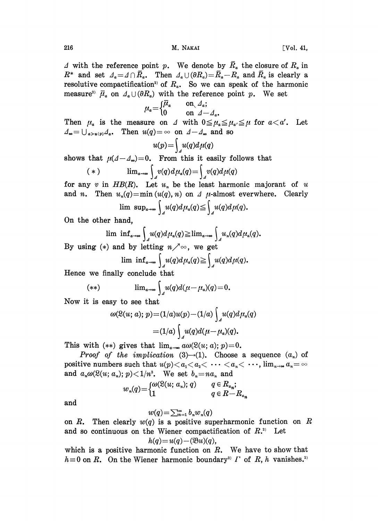216 M. NAKAI [Vol. 41,

 $\Delta$  with the reference point p. We denote by  $\bar{R}_a$  the closure of  $R_a$  in  $R^*$  and set  $A_a = \Lambda \cap \overline{R}_a$ . Then  $A_a \cup (\partial R_a) = \overline{R}_a - R_a$  and  $\overline{R}_a$  is clearly a resolutive compactification<sup>2)</sup> of  $R_a$ . So we can speak of the harmonic measure<sup>2)</sup>  $\bar{\mu}_a$  on  $\Lambda_a \cup (\partial R_a)$  with the reference point p. We set

$$
\mu_a = \begin{cases} \overline{\mu}_a & \text{on } \Delta_a; \\ 0 & \text{on } \Delta - \Delta_a. \end{cases}
$$

Then  $\mu_a$  is the measure on  $\Delta$  with  $0 \le \mu_a \le \mu_a \le \mu$  for  $a < a'$ . Let  $A_{\infty} = \bigcup_{a > u(p)} A_{a}$ . Then  $u(q) = \infty$  on  $A - A_{\infty}$  and so

$$
u(p) = \int_{A} u(q) d\mu(q)
$$

shows that  $\mu(\Delta-\Delta_{\infty})=0$ . From this it easily follows that

$$
(*)\qquad \qquad \lim_{a\to\infty}\int_{a}v(q)d\mu_a(q)=\int_{a}v(q)d\mu(q)
$$

for any v in  $HB(R)$ . Let  $u_n$  be the least harmonic majorant of u and *n*. Then  $u_n(q) = \min(u(q), n)$  on  $\Delta$   $\mu$ -almost everwhere. Clearly

$$
\lim_{\longrightarrow} \sup_{a\to\infty} \int_{A} u(q) d\mu_a(q) \leq \int_{A} u(q) d\mu(q).
$$

On the other hand,

$$
\lim_{\Delta u \to \infty} \int_{\Delta} u(q) d\mu_a(q) \geq \lim_{a \to \infty} \int_{\Delta} u_a(q) d\mu_a(q).
$$

By using (\*) and by letting  $n \nearrow \infty$ , we get

$$
\lim_{a\to\infty}\inf_{a\to\infty}\int_{a}u(q)d\mu_a(q)\geq\int_{a}u(q)d\mu(q).
$$

Hence we finally conclude that

$$
(**) \qquad \lim_{a\to\infty}\int_{A}u(q)d(\mu-\mu_a)(q)=0.
$$

Now it is easy to see that

$$
\omega(\mathfrak{L}(u; a); p) = (1/a)u(p) - (1/a)\int_{A} u(q)d\mu_a(q)
$$

$$
= (1/a)\int_{A} u(q)d(\mu - \mu_a)(q).
$$

This with (\*\*) gives that  $\lim_{a\to\infty} a\omega(\mathcal{R}(u; a); p)=0$ .

*Proof of the implication* (3)-(1). Choose a sequence  $(a_n)$  of positive numbers such that  $u(p) < a_1 < a_2 < \cdots < a_n < \cdots$ ,  $\lim_{n \to \infty} a_n = \infty$ and  $a_n \omega(\mathfrak{L}(u; a_n); p) \langle 1/n^3$ . We set  $b_n = na_n$  and

$$
w_n(q) = \begin{cases} \omega(\mathfrak{L}(u; a_n); q) & q \in R_{a_n}; \\ 1 & q \in R - R_{a_n} \end{cases}
$$

and

$$
w(q) = \sum_{n=1}^{\infty} b_n w_n(q)
$$

on R. Then clearly  $w(q)$  is a positive superharmonic function on R and so continuous on the Wiener compactification of  $R$ .<sup>2)</sup> Let  $h(q) = u(q) - (\mathfrak{B}u)(q),$ 

which is a positive harmonic function on  $R$ . We have to show that  $h \equiv 0$  on R. On the Wiener harmonic boundary<sup>2)</sup>  $\Gamma$  of R, h vanishes.<sup>2</sup>